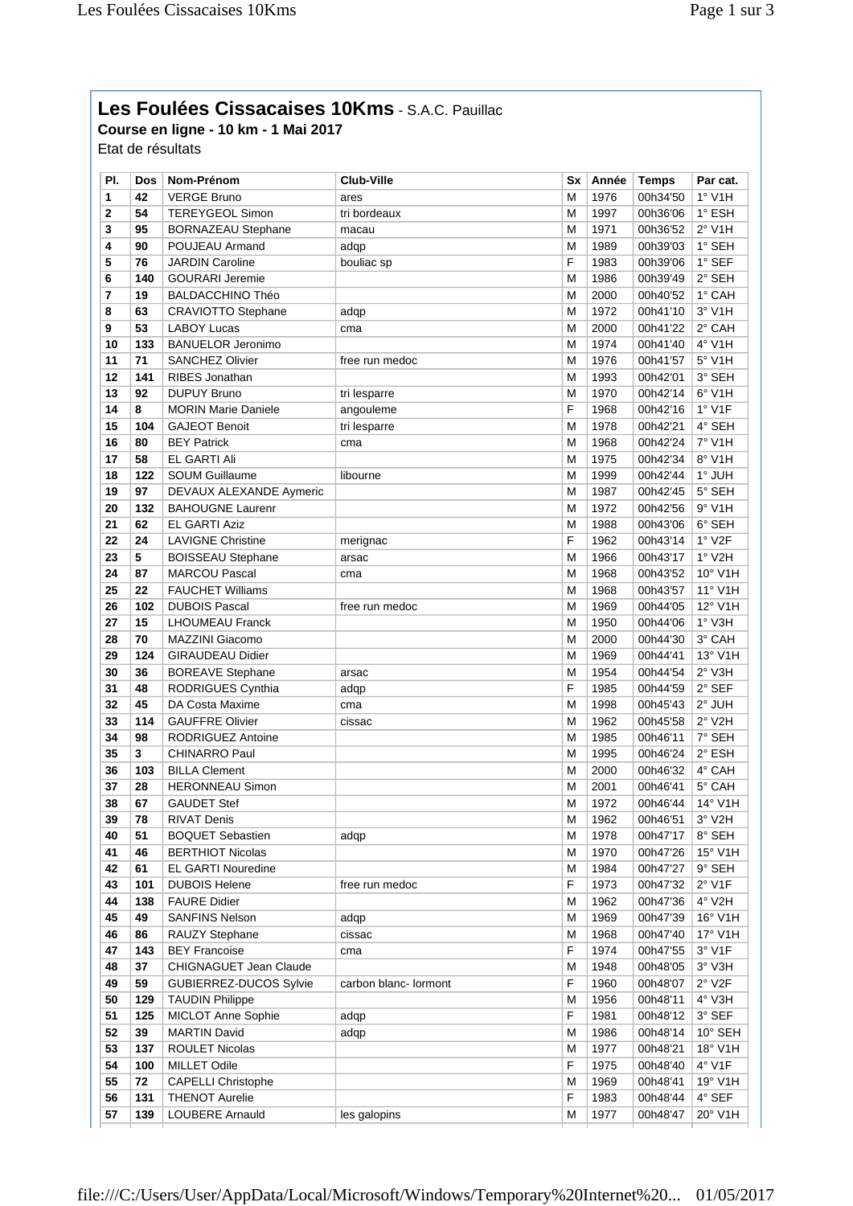## **Les Foulées Cissacaises 10Kms** - S.A.C. Pauillac

**Course en ligne - 10 km - 1 Mai 2017** Etat de résultats

| PI.         | <b>Dos</b> | Nom-Prénom                 | <b>Club-Ville</b>     | <b>Sx</b> | Année | <b>Temps</b> | Par cat.         |
|-------------|------------|----------------------------|-----------------------|-----------|-------|--------------|------------------|
| 1           | 42         | <b>VERGE Bruno</b>         | ares                  | M         | 1976  | 00h34'50     | $1°$ V1H         |
| $\mathbf 2$ | 54         | <b>TEREYGEOL Simon</b>     | tri bordeaux          | M         | 1997  | 00h36'06     | 1° ESH           |
| 3           | 95         | <b>BORNAZEAU Stephane</b>  | macau                 | M         | 1971  | 00h36'52     | 2° V1H           |
| 4           | 90         | POUJEAU Armand             | adqp                  | M         | 1989  | 00h39'03     | 1° SEH           |
| 5           | 76         | <b>JARDIN Caroline</b>     | bouliac sp            | F         | 1983  | 00h39'06     | $1^\circ$ SEF    |
| 6           | 140        | <b>GOURARI Jeremie</b>     |                       | M         | 1986  | 00h39'49     | 2° SEH           |
| 7           | 19         | <b>BALDACCHINO Théo</b>    |                       | M         | 2000  | 00h40'52     | 1° CAH           |
| 8           | 63         | CRAVIOTTO Stephane         | adqp                  | M         | 1972  | 00h41'10     | $3°$ V1H         |
| 9           | 53         | <b>LABOY Lucas</b>         | cma                   | M         | 2000  | 00h41'22     | 2° CAH           |
| 10          | 133        | <b>BANUELOR Jeronimo</b>   |                       | M         | 1974  | 00h41'40     | 4° V1H           |
| 11          | 71         | <b>SANCHEZ Olivier</b>     | free run medoc        | M         | 1976  | 00h41'57     | 5° V1H           |
| 12          | 141        | <b>RIBES Jonathan</b>      |                       | M         | 1993  | 00h42'01     | 3° SEH           |
| 13          | 92         | <b>DUPUY Bruno</b>         | tri lesparre          | M         | 1970  | 00h42'14     | $6°$ V1H         |
| 14          | 8          | <b>MORIN Marie Daniele</b> | angouleme             | F         | 1968  | 00h42'16     | 1° V1F           |
| 15          | 104        | <b>GAJEOT Benoit</b>       | tri lesparre          | M         | 1978  | 00h42'21     | 4° SEH           |
| 16          | 80         | <b>BEY Patrick</b>         | cma                   | M         | 1968  | 00h42'24     | 7° V1H           |
| 17          | 58         | EL GARTI Ali               |                       | M         | 1975  | 00h42'34     | 8° V1H           |
| 18          | 122        | <b>SOUM Guillaume</b>      | libourne              | M         | 1999  | 00h42'44     | 1° JUH           |
| 19          | 97         | DEVAUX ALEXANDE Aymeric    |                       | M         | 1987  | 00h42'45     | 5° SEH           |
| 20          | 132        | <b>BAHOUGNE Laurenr</b>    |                       | M         | 1972  | 00h42'56     | $9°$ V1H         |
| 21          |            | <b>EL GARTI Aziz</b>       |                       |           |       |              |                  |
|             | 62         |                            |                       | M<br>F    | 1988  | 00h43'06     | 6° SEH           |
| 22          | 24         | <b>LAVIGNE Christine</b>   | merignac              |           | 1962  | 00h43'14     | $1^\circ$ V2F    |
| 23          | 5          | <b>BOISSEAU Stephane</b>   | arsac                 | M         | 1966  | 00h43'17     | $1°$ V2H         |
| 24          | 87         | <b>MARCOU Pascal</b>       | cma                   | M         | 1968  | 00h43'52     | 10° V1H          |
| 25          | 22         | <b>FAUCHET Williams</b>    |                       | M         | 1968  | 00h43'57     | 11° V1H          |
| 26          | 102        | <b>DUBOIS Pascal</b>       | free run medoc        | M         | 1969  | 00h44'05     | 12° V1H          |
| 27          | 15         | <b>LHOUMEAU Franck</b>     |                       | M         | 1950  | 00h44'06     | $1°$ V3H         |
| 28          | 70         | MAZZINI Giacomo            |                       | M         | 2000  | 00h44'30     | 3° CAH           |
| 29          | 124        | <b>GIRAUDEAU Didier</b>    |                       | M         | 1969  | 00h44'41     | 13° V1H          |
| 30          | 36         | <b>BOREAVE Stephane</b>    | arsac                 | M         | 1954  | 00h44'54     | 2° V3H           |
| 31          | 48         | RODRIGUES Cynthia          | adqp                  | F         | 1985  | 00h44'59     | 2° SEF           |
| 32          | 45         | DA Costa Maxime            | cma                   | M         | 1998  | 00h45'43     | 2° JUH           |
| 33          | 114        | <b>GAUFFRE Olivier</b>     | cissac                | M         | 1962  | 00h45'58     | $2^{\circ}$ V2H  |
| 34          | 98         | RODRIGUEZ Antoine          |                       | M         | 1985  | 00h46'11     | 7° SEH           |
| 35          | 3          | <b>CHINARRO Paul</b>       |                       | M         | 1995  | 00h46'24     | 2° ESH           |
| 36          | 103        | <b>BILLA Clement</b>       |                       | M         | 2000  | 00h46'32     | 4° CAH           |
| 37          | 28         | <b>HERONNEAU Simon</b>     |                       | M         | 2001  | 00h46'41     | 5° CAH           |
| 38          | 67         | <b>GAUDET Stef</b>         |                       | M         | 1972  | 00h46'44     | 14° V1H          |
| 39          | 78         | <b>RIVAT Denis</b>         |                       | M         | 1962  | 00h46'51     | 3° V2H           |
| 40          | 51         | <b>BOQUET Sebastien</b>    | adqp                  | M         | 1978  | 00h47'17     | 8° SEH           |
| 41          | 46         | <b>BERTHIOT Nicolas</b>    |                       | M         | 1970  | 00h47'26     | $15^{\circ}$ V1H |
| 42          | 61         | <b>EL GARTI Nouredine</b>  |                       | M         | 1984  | 00h47'27     | 9° SEH           |
| 43          | 101        | <b>DUBOIS Helene</b>       | free run medoc        | F         | 1973  | 00h47'32     | $2°$ V1F         |
| 44          | 138        | <b>FAURE Didier</b>        |                       | M         | 1962  | 00h47'36     | 4° V2H           |
| 45          | 49         | <b>SANFINS Nelson</b>      | adqp                  | М         | 1969  | 00h47'39     | 16° V1H          |
| 46          | 86         | RAUZY Stephane             | cissac                | M         | 1968  | 00h47'40     | 17° V1H          |
| 47          | 143        | <b>BEY Francoise</b>       | cma                   | F         | 1974  | 00h47'55     | 3° V1F           |
| 48          | 37         | CHIGNAGUET Jean Claude     |                       | M         | 1948  | 00h48'05     | 3° V3H           |
| 49          | 59         | GUBIERREZ-DUCOS Sylvie     | carbon blanc- lormont | F         | 1960  | 00h48'07     | $2°$ V2F         |
| 50          | 129        | <b>TAUDIN Philippe</b>     |                       | M         | 1956  | 00h48'11     | 4° V3H           |
| 51          | 125        | MICLOT Anne Sophie         | adqp                  | F         | 1981  | 00h48'12     | 3° SEF           |
| 52          | 39         | <b>MARTIN David</b>        | adqp                  | M         | 1986  | 00h48'14     | 10° SEH          |
| 53          | 137        | <b>ROULET Nicolas</b>      |                       | M         | 1977  | 00h48'21     | 18° V1H          |
| 54          | 100        | <b>MILLET Odile</b>        |                       | F         | 1975  | 00h48'40     | $4^{\circ}$ V1F  |
| 55          | 72         | <b>CAPELLI Christophe</b>  |                       | M         | 1969  | 00h48'41     | 19° V1H          |
| 56          | 131        | <b>THENOT Aurelie</b>      |                       | F         | 1983  | 00h48'44     | 4° SEF           |
| 57          | 139        | <b>LOUBERE Arnauld</b>     | les galopins          | M         | 1977  | 00h48'47     | 20° V1H          |
|             |            |                            |                       |           |       |              |                  |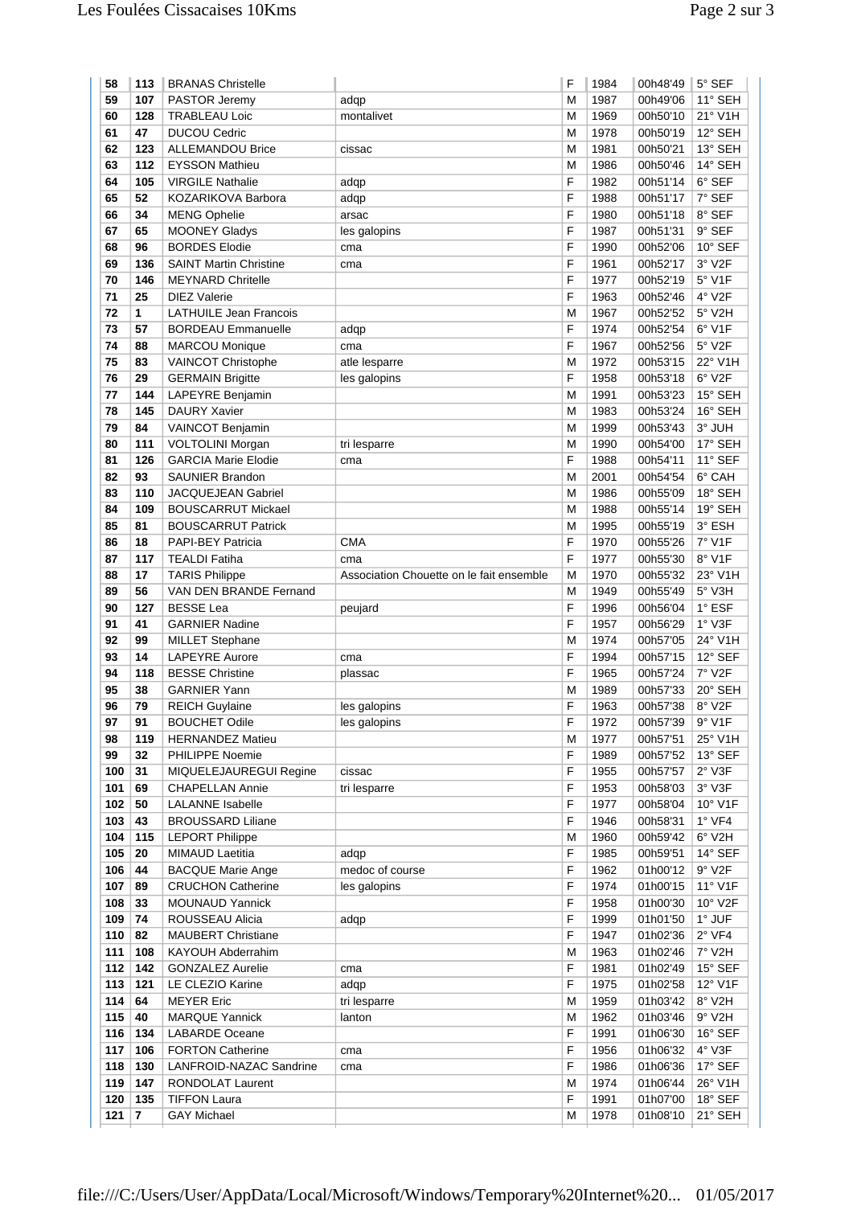| 59<br>M<br>11° SEH<br>107<br>PASTOR Jeremy<br>1987<br>00h49'06<br>adqp<br>21° V1H<br>60<br>128<br><b>TRABLEAU Loic</b><br>M<br>1969<br>00h50'10<br>montalivet<br>12° SEH<br>61<br>47<br><b>DUCOU Cedric</b><br>M<br>1978<br>00h50'19<br>62<br>123<br>13° SEH<br><b>ALLEMANDOU Brice</b><br>M<br>1981<br>00h50'21<br>cissac<br>112<br>14° SEH<br>63<br><b>EYSSON Mathieu</b><br>M<br>1986<br>00h50'46<br>F<br>6° SEF<br>64<br>105<br><b>VIRGILE Nathalie</b><br>1982<br>00h51'14<br>adqp<br>65<br>52<br>F<br>7° SEF<br>KOZARIKOVA Barbora<br>1988<br>00h51'17<br>adqp<br>66<br>F<br>1980<br>00h51'18<br>8° SEF<br>34<br><b>MENG Ophelie</b><br>arsac<br>F<br>1987<br>9° SEF<br>67<br>65<br><b>MOONEY Gladys</b><br>00h51'31<br>les galopins<br>68<br>96<br><b>BORDES Elodie</b><br>F<br>10° SEF<br>1990<br>00h52'06<br>cma<br>F<br>69<br>3° V2F<br>136<br><b>SAINT Martin Christine</b><br>1961<br>00h52'17<br>cma<br>70<br>F<br>146<br><b>MEYNARD Chritelle</b><br>1977<br>00h52'19<br>$5^\circ$ V1F<br>F<br>71<br>25<br>4° V2F<br><b>DIEZ Valerie</b><br>1963<br>00h52'46<br>72<br><b>LATHUILE Jean Francois</b><br>5° V2H<br>1<br>M<br>1967<br>00h52'52<br>6° V1F<br>73<br><b>BORDEAU Emmanuelle</b><br>F<br>57<br>adqp<br>1974<br>00h52'54<br>74<br>F<br>5° V2F<br>88<br><b>MARCOU Monique</b><br>1967<br>00h52'56<br>cma<br>75<br>VAINCOT Christophe<br>22° V1H<br>83<br>M<br>1972<br>00h53'15<br>atle lesparre<br>6° V2F<br>76<br>F<br>29<br><b>GERMAIN Brigitte</b><br>1958<br>00h53'18<br>les galopins<br>77<br>144<br>1991<br>15° SEH<br>LAPEYRE Benjamin<br>M<br>00h53'23<br>78<br>16° SEH<br>145<br><b>DAURY Xavier</b><br>M<br>1983<br>00h53'24<br>79<br>3° JUH<br>84<br><b>VAINCOT Benjamin</b><br>M<br>1999<br>00h53'43<br>80<br>111<br>M<br>VOLTOLINI Morgan<br>1990<br>00h54'00<br>17° SEH<br>tri lesparre<br>81<br>126<br><b>GARCIA Marie Elodie</b><br>F<br>11° SEF<br>1988<br>00h54'11<br>cma<br>82<br>6° CAH<br>93<br><b>SAUNIER Brandon</b><br>M<br>2001<br>00h54'54<br>18° SEH<br>83<br>110<br>1986<br><b>JACQUEJEAN Gabriel</b><br>M<br>00h55'09<br>19° SEH<br>84<br>1988<br>109<br><b>BOUSCARRUT Mickael</b><br>M<br>00h55'14<br>3° ESH<br>85<br>M<br>1995<br>81<br><b>BOUSCARRUT Patrick</b><br>00h55'19<br>86<br>18<br><b>CMA</b><br>F<br>7° V1F<br><b>PAPI-BEY Patricia</b><br>1970<br>00h55'26<br>87<br>117<br><b>TEALDI Fatiha</b><br>F<br>1977<br>00h55'30<br>8° V1F<br>cma<br>88<br><b>TARIS Philippe</b><br>1970<br>00h55'32<br>23° V1H<br>17<br>Association Chouette on le fait ensemble<br>M<br>VAN DEN BRANDE Fernand<br>5° V3H<br>89<br>56<br>M<br>1949<br>00h55'49<br>90<br>127<br><b>BESSE Lea</b><br>F<br>1° ESF<br>1996<br>00h56'04<br>peujard<br>F<br>91<br>41<br><b>GARNIER Nadine</b><br>1957<br>00h56'29<br>$1°$ V3F<br>92<br>99<br>M<br>1974<br>24° V1H<br><b>MILLET Stephane</b><br>00h57'05<br>93<br>14<br>F<br>1994<br>12° SEF<br><b>LAPEYRE Aurore</b><br>00h57'15<br>cma<br>F<br>7° V2F<br>94<br>118<br><b>BESSE Christine</b><br>1965<br>00h57'24<br>plassac<br>95<br>20° SEH<br>38<br><b>GARNIER Yann</b><br>M<br>1989<br>00h57'33<br>F<br>8° V2F<br>96<br>79<br><b>REICH Guylaine</b><br>1963<br>00h57'38<br>les galopins<br><b>BOUCHET Odile</b><br>9° V1F<br>97<br>1972<br>00h57'39<br>91<br>les galopins<br>F<br>25° V1H<br>98<br>119<br><b>HERNANDEZ Matieu</b><br>M<br>1977<br>00h57'51<br>13° SEF<br>99<br>32<br><b>PHILIPPE Noemie</b><br>F<br>1989<br>00h57'52<br>100<br>$2°$ V3F<br>31<br>MIQUELEJAUREGUI Regine<br>cissac<br>F<br>1955<br>00h57'57<br>F<br>101<br>3° V3F<br>69<br><b>CHAPELLAN Annie</b><br>1953<br>00h58'03<br>tri lesparre<br>50<br>F<br>10° V1F<br>102<br><b>LALANNE</b> Isabelle<br>1977<br>00h58'04<br>103<br>F<br>$1°$ VF4<br>43<br><b>BROUSSARD Liliane</b><br>1946<br>00h58'31<br>104<br>$6°$ V2H<br>115<br><b>LEPORT Philippe</b><br>M<br>1960<br>00h59'42<br>105<br>F<br>14° SEF<br>20<br><b>MIMAUD Laetitia</b><br>adqp<br>1985<br>00h59'51<br>9° V2F<br>106<br>44<br><b>BACQUE Marie Ange</b><br>medoc of course<br>F<br>1962<br>01h00'12<br>11° V1F<br>107<br><b>CRUCHON Catherine</b><br>F<br>89<br>les galopins<br>1974<br>01h00'15<br>108<br><b>MOUNAUD Yannick</b><br>F<br>10° V2F<br>33<br>1958<br>01h00'30<br>109<br>F<br>1999<br>1° JUF<br>74<br>ROUSSEAU Alicia<br>01h01'50<br>adqp<br>110<br>1947<br>$2°$ VF4<br>82<br><b>MAUBERT Christiane</b><br>F<br>01h02'36<br>111<br>7° V2H<br>108<br>KAYOUH Abderrahim<br>1963<br>01h02'46<br>M<br>112<br>142<br><b>GONZALEZ Aurelie</b><br>F<br>1981<br>$15^\circ$ SEF<br>01h02'49<br>cma<br>113<br>121<br>LE CLEZIO Karine<br>F<br>12° V1F<br>1975<br>01h02'58<br>adqp<br>114<br>64<br><b>MEYER Eric</b><br>1959<br>8° V2H<br>M<br>01h03'42<br>tri lesparre<br>115<br>1962<br>$9°$ V2H<br>40<br><b>MARQUE Yannick</b><br>M<br>01h03'46<br>lanton<br>116<br><b>LABARDE Oceane</b><br>F<br>16° SEF<br>134<br>1991<br>01h06'30<br>117<br>106<br><b>FORTON Catherine</b><br>F<br>4° V3F<br>1956<br>01h06'32<br>cma<br>118<br>F<br>17° SEF<br>130<br>LANFROID-NAZAC Sandrine<br>1986<br>01h06'36<br>cma<br>119<br>26° V1H<br>147<br>RONDOLAT Laurent<br>1974<br>01h06'44<br>M<br>120<br>135<br><b>TIFFON Laura</b><br>F<br>1991<br>18° SEF<br>01h07'00<br>121<br>7<br><b>GAY Michael</b><br>1978<br>01h08'10<br>21° SEH<br>M | 58 | 113 | <b>BRANAS Christelle</b> | F | 1984 | 00h48'49 | 5° SEF |
|-----------------------------------------------------------------------------------------------------------------------------------------------------------------------------------------------------------------------------------------------------------------------------------------------------------------------------------------------------------------------------------------------------------------------------------------------------------------------------------------------------------------------------------------------------------------------------------------------------------------------------------------------------------------------------------------------------------------------------------------------------------------------------------------------------------------------------------------------------------------------------------------------------------------------------------------------------------------------------------------------------------------------------------------------------------------------------------------------------------------------------------------------------------------------------------------------------------------------------------------------------------------------------------------------------------------------------------------------------------------------------------------------------------------------------------------------------------------------------------------------------------------------------------------------------------------------------------------------------------------------------------------------------------------------------------------------------------------------------------------------------------------------------------------------------------------------------------------------------------------------------------------------------------------------------------------------------------------------------------------------------------------------------------------------------------------------------------------------------------------------------------------------------------------------------------------------------------------------------------------------------------------------------------------------------------------------------------------------------------------------------------------------------------------------------------------------------------------------------------------------------------------------------------------------------------------------------------------------------------------------------------------------------------------------------------------------------------------------------------------------------------------------------------------------------------------------------------------------------------------------------------------------------------------------------------------------------------------------------------------------------------------------------------------------------------------------------------------------------------------------------------------------------------------------------------------------------------------------------------------------------------------------------------------------------------------------------------------------------------------------------------------------------------------------------------------------------------------------------------------------------------------------------------------------------------------------------------------------------------------------------------------------------------------------------------------------------------------------------------------------------------------------------------------------------------------------------------------------------------------------------------------------------------------------------------------------------------------------------------------------------------------------------------------------------------------------------------------------------------------------------------------------------------------------------------------------------------------------------------------------------------------------------------------------------------------------------------------------------------------------------------------------------------------------------------------------------------------------------------------------------------------------------------------------------------------------------------------------------------------------------------------------------------------------------------------------------------------------------------------------------------------------------------------------------------------------------------------------------------------------------------------------------------------------------------------------------------------------------------------------------------------------------------------------------------------------------------------------------------------------------------------------------------------------------------------------------------------------------------------------------------------------|----|-----|--------------------------|---|------|----------|--------|
|                                                                                                                                                                                                                                                                                                                                                                                                                                                                                                                                                                                                                                                                                                                                                                                                                                                                                                                                                                                                                                                                                                                                                                                                                                                                                                                                                                                                                                                                                                                                                                                                                                                                                                                                                                                                                                                                                                                                                                                                                                                                                                                                                                                                                                                                                                                                                                                                                                                                                                                                                                                                                                                                                                                                                                                                                                                                                                                                                                                                                                                                                                                                                                                                                                                                                                                                                                                                                                                                                                                                                                                                                                                                                                                                                                                                                                                                                                                                                                                                                                                                                                                                                                                                                                                                                                                                                                                                                                                                                                                                                                                                                                                                                                                                                                                                                                                                                                                                                                                                                                                                                                                                                                                                                                                                       |    |     |                          |   |      |          |        |
|                                                                                                                                                                                                                                                                                                                                                                                                                                                                                                                                                                                                                                                                                                                                                                                                                                                                                                                                                                                                                                                                                                                                                                                                                                                                                                                                                                                                                                                                                                                                                                                                                                                                                                                                                                                                                                                                                                                                                                                                                                                                                                                                                                                                                                                                                                                                                                                                                                                                                                                                                                                                                                                                                                                                                                                                                                                                                                                                                                                                                                                                                                                                                                                                                                                                                                                                                                                                                                                                                                                                                                                                                                                                                                                                                                                                                                                                                                                                                                                                                                                                                                                                                                                                                                                                                                                                                                                                                                                                                                                                                                                                                                                                                                                                                                                                                                                                                                                                                                                                                                                                                                                                                                                                                                                                       |    |     |                          |   |      |          |        |
|                                                                                                                                                                                                                                                                                                                                                                                                                                                                                                                                                                                                                                                                                                                                                                                                                                                                                                                                                                                                                                                                                                                                                                                                                                                                                                                                                                                                                                                                                                                                                                                                                                                                                                                                                                                                                                                                                                                                                                                                                                                                                                                                                                                                                                                                                                                                                                                                                                                                                                                                                                                                                                                                                                                                                                                                                                                                                                                                                                                                                                                                                                                                                                                                                                                                                                                                                                                                                                                                                                                                                                                                                                                                                                                                                                                                                                                                                                                                                                                                                                                                                                                                                                                                                                                                                                                                                                                                                                                                                                                                                                                                                                                                                                                                                                                                                                                                                                                                                                                                                                                                                                                                                                                                                                                                       |    |     |                          |   |      |          |        |
|                                                                                                                                                                                                                                                                                                                                                                                                                                                                                                                                                                                                                                                                                                                                                                                                                                                                                                                                                                                                                                                                                                                                                                                                                                                                                                                                                                                                                                                                                                                                                                                                                                                                                                                                                                                                                                                                                                                                                                                                                                                                                                                                                                                                                                                                                                                                                                                                                                                                                                                                                                                                                                                                                                                                                                                                                                                                                                                                                                                                                                                                                                                                                                                                                                                                                                                                                                                                                                                                                                                                                                                                                                                                                                                                                                                                                                                                                                                                                                                                                                                                                                                                                                                                                                                                                                                                                                                                                                                                                                                                                                                                                                                                                                                                                                                                                                                                                                                                                                                                                                                                                                                                                                                                                                                                       |    |     |                          |   |      |          |        |
|                                                                                                                                                                                                                                                                                                                                                                                                                                                                                                                                                                                                                                                                                                                                                                                                                                                                                                                                                                                                                                                                                                                                                                                                                                                                                                                                                                                                                                                                                                                                                                                                                                                                                                                                                                                                                                                                                                                                                                                                                                                                                                                                                                                                                                                                                                                                                                                                                                                                                                                                                                                                                                                                                                                                                                                                                                                                                                                                                                                                                                                                                                                                                                                                                                                                                                                                                                                                                                                                                                                                                                                                                                                                                                                                                                                                                                                                                                                                                                                                                                                                                                                                                                                                                                                                                                                                                                                                                                                                                                                                                                                                                                                                                                                                                                                                                                                                                                                                                                                                                                                                                                                                                                                                                                                                       |    |     |                          |   |      |          |        |
|                                                                                                                                                                                                                                                                                                                                                                                                                                                                                                                                                                                                                                                                                                                                                                                                                                                                                                                                                                                                                                                                                                                                                                                                                                                                                                                                                                                                                                                                                                                                                                                                                                                                                                                                                                                                                                                                                                                                                                                                                                                                                                                                                                                                                                                                                                                                                                                                                                                                                                                                                                                                                                                                                                                                                                                                                                                                                                                                                                                                                                                                                                                                                                                                                                                                                                                                                                                                                                                                                                                                                                                                                                                                                                                                                                                                                                                                                                                                                                                                                                                                                                                                                                                                                                                                                                                                                                                                                                                                                                                                                                                                                                                                                                                                                                                                                                                                                                                                                                                                                                                                                                                                                                                                                                                                       |    |     |                          |   |      |          |        |
|                                                                                                                                                                                                                                                                                                                                                                                                                                                                                                                                                                                                                                                                                                                                                                                                                                                                                                                                                                                                                                                                                                                                                                                                                                                                                                                                                                                                                                                                                                                                                                                                                                                                                                                                                                                                                                                                                                                                                                                                                                                                                                                                                                                                                                                                                                                                                                                                                                                                                                                                                                                                                                                                                                                                                                                                                                                                                                                                                                                                                                                                                                                                                                                                                                                                                                                                                                                                                                                                                                                                                                                                                                                                                                                                                                                                                                                                                                                                                                                                                                                                                                                                                                                                                                                                                                                                                                                                                                                                                                                                                                                                                                                                                                                                                                                                                                                                                                                                                                                                                                                                                                                                                                                                                                                                       |    |     |                          |   |      |          |        |
|                                                                                                                                                                                                                                                                                                                                                                                                                                                                                                                                                                                                                                                                                                                                                                                                                                                                                                                                                                                                                                                                                                                                                                                                                                                                                                                                                                                                                                                                                                                                                                                                                                                                                                                                                                                                                                                                                                                                                                                                                                                                                                                                                                                                                                                                                                                                                                                                                                                                                                                                                                                                                                                                                                                                                                                                                                                                                                                                                                                                                                                                                                                                                                                                                                                                                                                                                                                                                                                                                                                                                                                                                                                                                                                                                                                                                                                                                                                                                                                                                                                                                                                                                                                                                                                                                                                                                                                                                                                                                                                                                                                                                                                                                                                                                                                                                                                                                                                                                                                                                                                                                                                                                                                                                                                                       |    |     |                          |   |      |          |        |
|                                                                                                                                                                                                                                                                                                                                                                                                                                                                                                                                                                                                                                                                                                                                                                                                                                                                                                                                                                                                                                                                                                                                                                                                                                                                                                                                                                                                                                                                                                                                                                                                                                                                                                                                                                                                                                                                                                                                                                                                                                                                                                                                                                                                                                                                                                                                                                                                                                                                                                                                                                                                                                                                                                                                                                                                                                                                                                                                                                                                                                                                                                                                                                                                                                                                                                                                                                                                                                                                                                                                                                                                                                                                                                                                                                                                                                                                                                                                                                                                                                                                                                                                                                                                                                                                                                                                                                                                                                                                                                                                                                                                                                                                                                                                                                                                                                                                                                                                                                                                                                                                                                                                                                                                                                                                       |    |     |                          |   |      |          |        |
|                                                                                                                                                                                                                                                                                                                                                                                                                                                                                                                                                                                                                                                                                                                                                                                                                                                                                                                                                                                                                                                                                                                                                                                                                                                                                                                                                                                                                                                                                                                                                                                                                                                                                                                                                                                                                                                                                                                                                                                                                                                                                                                                                                                                                                                                                                                                                                                                                                                                                                                                                                                                                                                                                                                                                                                                                                                                                                                                                                                                                                                                                                                                                                                                                                                                                                                                                                                                                                                                                                                                                                                                                                                                                                                                                                                                                                                                                                                                                                                                                                                                                                                                                                                                                                                                                                                                                                                                                                                                                                                                                                                                                                                                                                                                                                                                                                                                                                                                                                                                                                                                                                                                                                                                                                                                       |    |     |                          |   |      |          |        |
|                                                                                                                                                                                                                                                                                                                                                                                                                                                                                                                                                                                                                                                                                                                                                                                                                                                                                                                                                                                                                                                                                                                                                                                                                                                                                                                                                                                                                                                                                                                                                                                                                                                                                                                                                                                                                                                                                                                                                                                                                                                                                                                                                                                                                                                                                                                                                                                                                                                                                                                                                                                                                                                                                                                                                                                                                                                                                                                                                                                                                                                                                                                                                                                                                                                                                                                                                                                                                                                                                                                                                                                                                                                                                                                                                                                                                                                                                                                                                                                                                                                                                                                                                                                                                                                                                                                                                                                                                                                                                                                                                                                                                                                                                                                                                                                                                                                                                                                                                                                                                                                                                                                                                                                                                                                                       |    |     |                          |   |      |          |        |
|                                                                                                                                                                                                                                                                                                                                                                                                                                                                                                                                                                                                                                                                                                                                                                                                                                                                                                                                                                                                                                                                                                                                                                                                                                                                                                                                                                                                                                                                                                                                                                                                                                                                                                                                                                                                                                                                                                                                                                                                                                                                                                                                                                                                                                                                                                                                                                                                                                                                                                                                                                                                                                                                                                                                                                                                                                                                                                                                                                                                                                                                                                                                                                                                                                                                                                                                                                                                                                                                                                                                                                                                                                                                                                                                                                                                                                                                                                                                                                                                                                                                                                                                                                                                                                                                                                                                                                                                                                                                                                                                                                                                                                                                                                                                                                                                                                                                                                                                                                                                                                                                                                                                                                                                                                                                       |    |     |                          |   |      |          |        |
|                                                                                                                                                                                                                                                                                                                                                                                                                                                                                                                                                                                                                                                                                                                                                                                                                                                                                                                                                                                                                                                                                                                                                                                                                                                                                                                                                                                                                                                                                                                                                                                                                                                                                                                                                                                                                                                                                                                                                                                                                                                                                                                                                                                                                                                                                                                                                                                                                                                                                                                                                                                                                                                                                                                                                                                                                                                                                                                                                                                                                                                                                                                                                                                                                                                                                                                                                                                                                                                                                                                                                                                                                                                                                                                                                                                                                                                                                                                                                                                                                                                                                                                                                                                                                                                                                                                                                                                                                                                                                                                                                                                                                                                                                                                                                                                                                                                                                                                                                                                                                                                                                                                                                                                                                                                                       |    |     |                          |   |      |          |        |
|                                                                                                                                                                                                                                                                                                                                                                                                                                                                                                                                                                                                                                                                                                                                                                                                                                                                                                                                                                                                                                                                                                                                                                                                                                                                                                                                                                                                                                                                                                                                                                                                                                                                                                                                                                                                                                                                                                                                                                                                                                                                                                                                                                                                                                                                                                                                                                                                                                                                                                                                                                                                                                                                                                                                                                                                                                                                                                                                                                                                                                                                                                                                                                                                                                                                                                                                                                                                                                                                                                                                                                                                                                                                                                                                                                                                                                                                                                                                                                                                                                                                                                                                                                                                                                                                                                                                                                                                                                                                                                                                                                                                                                                                                                                                                                                                                                                                                                                                                                                                                                                                                                                                                                                                                                                                       |    |     |                          |   |      |          |        |
|                                                                                                                                                                                                                                                                                                                                                                                                                                                                                                                                                                                                                                                                                                                                                                                                                                                                                                                                                                                                                                                                                                                                                                                                                                                                                                                                                                                                                                                                                                                                                                                                                                                                                                                                                                                                                                                                                                                                                                                                                                                                                                                                                                                                                                                                                                                                                                                                                                                                                                                                                                                                                                                                                                                                                                                                                                                                                                                                                                                                                                                                                                                                                                                                                                                                                                                                                                                                                                                                                                                                                                                                                                                                                                                                                                                                                                                                                                                                                                                                                                                                                                                                                                                                                                                                                                                                                                                                                                                                                                                                                                                                                                                                                                                                                                                                                                                                                                                                                                                                                                                                                                                                                                                                                                                                       |    |     |                          |   |      |          |        |
|                                                                                                                                                                                                                                                                                                                                                                                                                                                                                                                                                                                                                                                                                                                                                                                                                                                                                                                                                                                                                                                                                                                                                                                                                                                                                                                                                                                                                                                                                                                                                                                                                                                                                                                                                                                                                                                                                                                                                                                                                                                                                                                                                                                                                                                                                                                                                                                                                                                                                                                                                                                                                                                                                                                                                                                                                                                                                                                                                                                                                                                                                                                                                                                                                                                                                                                                                                                                                                                                                                                                                                                                                                                                                                                                                                                                                                                                                                                                                                                                                                                                                                                                                                                                                                                                                                                                                                                                                                                                                                                                                                                                                                                                                                                                                                                                                                                                                                                                                                                                                                                                                                                                                                                                                                                                       |    |     |                          |   |      |          |        |
|                                                                                                                                                                                                                                                                                                                                                                                                                                                                                                                                                                                                                                                                                                                                                                                                                                                                                                                                                                                                                                                                                                                                                                                                                                                                                                                                                                                                                                                                                                                                                                                                                                                                                                                                                                                                                                                                                                                                                                                                                                                                                                                                                                                                                                                                                                                                                                                                                                                                                                                                                                                                                                                                                                                                                                                                                                                                                                                                                                                                                                                                                                                                                                                                                                                                                                                                                                                                                                                                                                                                                                                                                                                                                                                                                                                                                                                                                                                                                                                                                                                                                                                                                                                                                                                                                                                                                                                                                                                                                                                                                                                                                                                                                                                                                                                                                                                                                                                                                                                                                                                                                                                                                                                                                                                                       |    |     |                          |   |      |          |        |
|                                                                                                                                                                                                                                                                                                                                                                                                                                                                                                                                                                                                                                                                                                                                                                                                                                                                                                                                                                                                                                                                                                                                                                                                                                                                                                                                                                                                                                                                                                                                                                                                                                                                                                                                                                                                                                                                                                                                                                                                                                                                                                                                                                                                                                                                                                                                                                                                                                                                                                                                                                                                                                                                                                                                                                                                                                                                                                                                                                                                                                                                                                                                                                                                                                                                                                                                                                                                                                                                                                                                                                                                                                                                                                                                                                                                                                                                                                                                                                                                                                                                                                                                                                                                                                                                                                                                                                                                                                                                                                                                                                                                                                                                                                                                                                                                                                                                                                                                                                                                                                                                                                                                                                                                                                                                       |    |     |                          |   |      |          |        |
|                                                                                                                                                                                                                                                                                                                                                                                                                                                                                                                                                                                                                                                                                                                                                                                                                                                                                                                                                                                                                                                                                                                                                                                                                                                                                                                                                                                                                                                                                                                                                                                                                                                                                                                                                                                                                                                                                                                                                                                                                                                                                                                                                                                                                                                                                                                                                                                                                                                                                                                                                                                                                                                                                                                                                                                                                                                                                                                                                                                                                                                                                                                                                                                                                                                                                                                                                                                                                                                                                                                                                                                                                                                                                                                                                                                                                                                                                                                                                                                                                                                                                                                                                                                                                                                                                                                                                                                                                                                                                                                                                                                                                                                                                                                                                                                                                                                                                                                                                                                                                                                                                                                                                                                                                                                                       |    |     |                          |   |      |          |        |
|                                                                                                                                                                                                                                                                                                                                                                                                                                                                                                                                                                                                                                                                                                                                                                                                                                                                                                                                                                                                                                                                                                                                                                                                                                                                                                                                                                                                                                                                                                                                                                                                                                                                                                                                                                                                                                                                                                                                                                                                                                                                                                                                                                                                                                                                                                                                                                                                                                                                                                                                                                                                                                                                                                                                                                                                                                                                                                                                                                                                                                                                                                                                                                                                                                                                                                                                                                                                                                                                                                                                                                                                                                                                                                                                                                                                                                                                                                                                                                                                                                                                                                                                                                                                                                                                                                                                                                                                                                                                                                                                                                                                                                                                                                                                                                                                                                                                                                                                                                                                                                                                                                                                                                                                                                                                       |    |     |                          |   |      |          |        |
|                                                                                                                                                                                                                                                                                                                                                                                                                                                                                                                                                                                                                                                                                                                                                                                                                                                                                                                                                                                                                                                                                                                                                                                                                                                                                                                                                                                                                                                                                                                                                                                                                                                                                                                                                                                                                                                                                                                                                                                                                                                                                                                                                                                                                                                                                                                                                                                                                                                                                                                                                                                                                                                                                                                                                                                                                                                                                                                                                                                                                                                                                                                                                                                                                                                                                                                                                                                                                                                                                                                                                                                                                                                                                                                                                                                                                                                                                                                                                                                                                                                                                                                                                                                                                                                                                                                                                                                                                                                                                                                                                                                                                                                                                                                                                                                                                                                                                                                                                                                                                                                                                                                                                                                                                                                                       |    |     |                          |   |      |          |        |
|                                                                                                                                                                                                                                                                                                                                                                                                                                                                                                                                                                                                                                                                                                                                                                                                                                                                                                                                                                                                                                                                                                                                                                                                                                                                                                                                                                                                                                                                                                                                                                                                                                                                                                                                                                                                                                                                                                                                                                                                                                                                                                                                                                                                                                                                                                                                                                                                                                                                                                                                                                                                                                                                                                                                                                                                                                                                                                                                                                                                                                                                                                                                                                                                                                                                                                                                                                                                                                                                                                                                                                                                                                                                                                                                                                                                                                                                                                                                                                                                                                                                                                                                                                                                                                                                                                                                                                                                                                                                                                                                                                                                                                                                                                                                                                                                                                                                                                                                                                                                                                                                                                                                                                                                                                                                       |    |     |                          |   |      |          |        |
|                                                                                                                                                                                                                                                                                                                                                                                                                                                                                                                                                                                                                                                                                                                                                                                                                                                                                                                                                                                                                                                                                                                                                                                                                                                                                                                                                                                                                                                                                                                                                                                                                                                                                                                                                                                                                                                                                                                                                                                                                                                                                                                                                                                                                                                                                                                                                                                                                                                                                                                                                                                                                                                                                                                                                                                                                                                                                                                                                                                                                                                                                                                                                                                                                                                                                                                                                                                                                                                                                                                                                                                                                                                                                                                                                                                                                                                                                                                                                                                                                                                                                                                                                                                                                                                                                                                                                                                                                                                                                                                                                                                                                                                                                                                                                                                                                                                                                                                                                                                                                                                                                                                                                                                                                                                                       |    |     |                          |   |      |          |        |
|                                                                                                                                                                                                                                                                                                                                                                                                                                                                                                                                                                                                                                                                                                                                                                                                                                                                                                                                                                                                                                                                                                                                                                                                                                                                                                                                                                                                                                                                                                                                                                                                                                                                                                                                                                                                                                                                                                                                                                                                                                                                                                                                                                                                                                                                                                                                                                                                                                                                                                                                                                                                                                                                                                                                                                                                                                                                                                                                                                                                                                                                                                                                                                                                                                                                                                                                                                                                                                                                                                                                                                                                                                                                                                                                                                                                                                                                                                                                                                                                                                                                                                                                                                                                                                                                                                                                                                                                                                                                                                                                                                                                                                                                                                                                                                                                                                                                                                                                                                                                                                                                                                                                                                                                                                                                       |    |     |                          |   |      |          |        |
|                                                                                                                                                                                                                                                                                                                                                                                                                                                                                                                                                                                                                                                                                                                                                                                                                                                                                                                                                                                                                                                                                                                                                                                                                                                                                                                                                                                                                                                                                                                                                                                                                                                                                                                                                                                                                                                                                                                                                                                                                                                                                                                                                                                                                                                                                                                                                                                                                                                                                                                                                                                                                                                                                                                                                                                                                                                                                                                                                                                                                                                                                                                                                                                                                                                                                                                                                                                                                                                                                                                                                                                                                                                                                                                                                                                                                                                                                                                                                                                                                                                                                                                                                                                                                                                                                                                                                                                                                                                                                                                                                                                                                                                                                                                                                                                                                                                                                                                                                                                                                                                                                                                                                                                                                                                                       |    |     |                          |   |      |          |        |
|                                                                                                                                                                                                                                                                                                                                                                                                                                                                                                                                                                                                                                                                                                                                                                                                                                                                                                                                                                                                                                                                                                                                                                                                                                                                                                                                                                                                                                                                                                                                                                                                                                                                                                                                                                                                                                                                                                                                                                                                                                                                                                                                                                                                                                                                                                                                                                                                                                                                                                                                                                                                                                                                                                                                                                                                                                                                                                                                                                                                                                                                                                                                                                                                                                                                                                                                                                                                                                                                                                                                                                                                                                                                                                                                                                                                                                                                                                                                                                                                                                                                                                                                                                                                                                                                                                                                                                                                                                                                                                                                                                                                                                                                                                                                                                                                                                                                                                                                                                                                                                                                                                                                                                                                                                                                       |    |     |                          |   |      |          |        |
|                                                                                                                                                                                                                                                                                                                                                                                                                                                                                                                                                                                                                                                                                                                                                                                                                                                                                                                                                                                                                                                                                                                                                                                                                                                                                                                                                                                                                                                                                                                                                                                                                                                                                                                                                                                                                                                                                                                                                                                                                                                                                                                                                                                                                                                                                                                                                                                                                                                                                                                                                                                                                                                                                                                                                                                                                                                                                                                                                                                                                                                                                                                                                                                                                                                                                                                                                                                                                                                                                                                                                                                                                                                                                                                                                                                                                                                                                                                                                                                                                                                                                                                                                                                                                                                                                                                                                                                                                                                                                                                                                                                                                                                                                                                                                                                                                                                                                                                                                                                                                                                                                                                                                                                                                                                                       |    |     |                          |   |      |          |        |
|                                                                                                                                                                                                                                                                                                                                                                                                                                                                                                                                                                                                                                                                                                                                                                                                                                                                                                                                                                                                                                                                                                                                                                                                                                                                                                                                                                                                                                                                                                                                                                                                                                                                                                                                                                                                                                                                                                                                                                                                                                                                                                                                                                                                                                                                                                                                                                                                                                                                                                                                                                                                                                                                                                                                                                                                                                                                                                                                                                                                                                                                                                                                                                                                                                                                                                                                                                                                                                                                                                                                                                                                                                                                                                                                                                                                                                                                                                                                                                                                                                                                                                                                                                                                                                                                                                                                                                                                                                                                                                                                                                                                                                                                                                                                                                                                                                                                                                                                                                                                                                                                                                                                                                                                                                                                       |    |     |                          |   |      |          |        |
|                                                                                                                                                                                                                                                                                                                                                                                                                                                                                                                                                                                                                                                                                                                                                                                                                                                                                                                                                                                                                                                                                                                                                                                                                                                                                                                                                                                                                                                                                                                                                                                                                                                                                                                                                                                                                                                                                                                                                                                                                                                                                                                                                                                                                                                                                                                                                                                                                                                                                                                                                                                                                                                                                                                                                                                                                                                                                                                                                                                                                                                                                                                                                                                                                                                                                                                                                                                                                                                                                                                                                                                                                                                                                                                                                                                                                                                                                                                                                                                                                                                                                                                                                                                                                                                                                                                                                                                                                                                                                                                                                                                                                                                                                                                                                                                                                                                                                                                                                                                                                                                                                                                                                                                                                                                                       |    |     |                          |   |      |          |        |
|                                                                                                                                                                                                                                                                                                                                                                                                                                                                                                                                                                                                                                                                                                                                                                                                                                                                                                                                                                                                                                                                                                                                                                                                                                                                                                                                                                                                                                                                                                                                                                                                                                                                                                                                                                                                                                                                                                                                                                                                                                                                                                                                                                                                                                                                                                                                                                                                                                                                                                                                                                                                                                                                                                                                                                                                                                                                                                                                                                                                                                                                                                                                                                                                                                                                                                                                                                                                                                                                                                                                                                                                                                                                                                                                                                                                                                                                                                                                                                                                                                                                                                                                                                                                                                                                                                                                                                                                                                                                                                                                                                                                                                                                                                                                                                                                                                                                                                                                                                                                                                                                                                                                                                                                                                                                       |    |     |                          |   |      |          |        |
|                                                                                                                                                                                                                                                                                                                                                                                                                                                                                                                                                                                                                                                                                                                                                                                                                                                                                                                                                                                                                                                                                                                                                                                                                                                                                                                                                                                                                                                                                                                                                                                                                                                                                                                                                                                                                                                                                                                                                                                                                                                                                                                                                                                                                                                                                                                                                                                                                                                                                                                                                                                                                                                                                                                                                                                                                                                                                                                                                                                                                                                                                                                                                                                                                                                                                                                                                                                                                                                                                                                                                                                                                                                                                                                                                                                                                                                                                                                                                                                                                                                                                                                                                                                                                                                                                                                                                                                                                                                                                                                                                                                                                                                                                                                                                                                                                                                                                                                                                                                                                                                                                                                                                                                                                                                                       |    |     |                          |   |      |          |        |
|                                                                                                                                                                                                                                                                                                                                                                                                                                                                                                                                                                                                                                                                                                                                                                                                                                                                                                                                                                                                                                                                                                                                                                                                                                                                                                                                                                                                                                                                                                                                                                                                                                                                                                                                                                                                                                                                                                                                                                                                                                                                                                                                                                                                                                                                                                                                                                                                                                                                                                                                                                                                                                                                                                                                                                                                                                                                                                                                                                                                                                                                                                                                                                                                                                                                                                                                                                                                                                                                                                                                                                                                                                                                                                                                                                                                                                                                                                                                                                                                                                                                                                                                                                                                                                                                                                                                                                                                                                                                                                                                                                                                                                                                                                                                                                                                                                                                                                                                                                                                                                                                                                                                                                                                                                                                       |    |     |                          |   |      |          |        |
|                                                                                                                                                                                                                                                                                                                                                                                                                                                                                                                                                                                                                                                                                                                                                                                                                                                                                                                                                                                                                                                                                                                                                                                                                                                                                                                                                                                                                                                                                                                                                                                                                                                                                                                                                                                                                                                                                                                                                                                                                                                                                                                                                                                                                                                                                                                                                                                                                                                                                                                                                                                                                                                                                                                                                                                                                                                                                                                                                                                                                                                                                                                                                                                                                                                                                                                                                                                                                                                                                                                                                                                                                                                                                                                                                                                                                                                                                                                                                                                                                                                                                                                                                                                                                                                                                                                                                                                                                                                                                                                                                                                                                                                                                                                                                                                                                                                                                                                                                                                                                                                                                                                                                                                                                                                                       |    |     |                          |   |      |          |        |
|                                                                                                                                                                                                                                                                                                                                                                                                                                                                                                                                                                                                                                                                                                                                                                                                                                                                                                                                                                                                                                                                                                                                                                                                                                                                                                                                                                                                                                                                                                                                                                                                                                                                                                                                                                                                                                                                                                                                                                                                                                                                                                                                                                                                                                                                                                                                                                                                                                                                                                                                                                                                                                                                                                                                                                                                                                                                                                                                                                                                                                                                                                                                                                                                                                                                                                                                                                                                                                                                                                                                                                                                                                                                                                                                                                                                                                                                                                                                                                                                                                                                                                                                                                                                                                                                                                                                                                                                                                                                                                                                                                                                                                                                                                                                                                                                                                                                                                                                                                                                                                                                                                                                                                                                                                                                       |    |     |                          |   |      |          |        |
|                                                                                                                                                                                                                                                                                                                                                                                                                                                                                                                                                                                                                                                                                                                                                                                                                                                                                                                                                                                                                                                                                                                                                                                                                                                                                                                                                                                                                                                                                                                                                                                                                                                                                                                                                                                                                                                                                                                                                                                                                                                                                                                                                                                                                                                                                                                                                                                                                                                                                                                                                                                                                                                                                                                                                                                                                                                                                                                                                                                                                                                                                                                                                                                                                                                                                                                                                                                                                                                                                                                                                                                                                                                                                                                                                                                                                                                                                                                                                                                                                                                                                                                                                                                                                                                                                                                                                                                                                                                                                                                                                                                                                                                                                                                                                                                                                                                                                                                                                                                                                                                                                                                                                                                                                                                                       |    |     |                          |   |      |          |        |
|                                                                                                                                                                                                                                                                                                                                                                                                                                                                                                                                                                                                                                                                                                                                                                                                                                                                                                                                                                                                                                                                                                                                                                                                                                                                                                                                                                                                                                                                                                                                                                                                                                                                                                                                                                                                                                                                                                                                                                                                                                                                                                                                                                                                                                                                                                                                                                                                                                                                                                                                                                                                                                                                                                                                                                                                                                                                                                                                                                                                                                                                                                                                                                                                                                                                                                                                                                                                                                                                                                                                                                                                                                                                                                                                                                                                                                                                                                                                                                                                                                                                                                                                                                                                                                                                                                                                                                                                                                                                                                                                                                                                                                                                                                                                                                                                                                                                                                                                                                                                                                                                                                                                                                                                                                                                       |    |     |                          |   |      |          |        |
|                                                                                                                                                                                                                                                                                                                                                                                                                                                                                                                                                                                                                                                                                                                                                                                                                                                                                                                                                                                                                                                                                                                                                                                                                                                                                                                                                                                                                                                                                                                                                                                                                                                                                                                                                                                                                                                                                                                                                                                                                                                                                                                                                                                                                                                                                                                                                                                                                                                                                                                                                                                                                                                                                                                                                                                                                                                                                                                                                                                                                                                                                                                                                                                                                                                                                                                                                                                                                                                                                                                                                                                                                                                                                                                                                                                                                                                                                                                                                                                                                                                                                                                                                                                                                                                                                                                                                                                                                                                                                                                                                                                                                                                                                                                                                                                                                                                                                                                                                                                                                                                                                                                                                                                                                                                                       |    |     |                          |   |      |          |        |
|                                                                                                                                                                                                                                                                                                                                                                                                                                                                                                                                                                                                                                                                                                                                                                                                                                                                                                                                                                                                                                                                                                                                                                                                                                                                                                                                                                                                                                                                                                                                                                                                                                                                                                                                                                                                                                                                                                                                                                                                                                                                                                                                                                                                                                                                                                                                                                                                                                                                                                                                                                                                                                                                                                                                                                                                                                                                                                                                                                                                                                                                                                                                                                                                                                                                                                                                                                                                                                                                                                                                                                                                                                                                                                                                                                                                                                                                                                                                                                                                                                                                                                                                                                                                                                                                                                                                                                                                                                                                                                                                                                                                                                                                                                                                                                                                                                                                                                                                                                                                                                                                                                                                                                                                                                                                       |    |     |                          |   |      |          |        |
|                                                                                                                                                                                                                                                                                                                                                                                                                                                                                                                                                                                                                                                                                                                                                                                                                                                                                                                                                                                                                                                                                                                                                                                                                                                                                                                                                                                                                                                                                                                                                                                                                                                                                                                                                                                                                                                                                                                                                                                                                                                                                                                                                                                                                                                                                                                                                                                                                                                                                                                                                                                                                                                                                                                                                                                                                                                                                                                                                                                                                                                                                                                                                                                                                                                                                                                                                                                                                                                                                                                                                                                                                                                                                                                                                                                                                                                                                                                                                                                                                                                                                                                                                                                                                                                                                                                                                                                                                                                                                                                                                                                                                                                                                                                                                                                                                                                                                                                                                                                                                                                                                                                                                                                                                                                                       |    |     |                          |   |      |          |        |
|                                                                                                                                                                                                                                                                                                                                                                                                                                                                                                                                                                                                                                                                                                                                                                                                                                                                                                                                                                                                                                                                                                                                                                                                                                                                                                                                                                                                                                                                                                                                                                                                                                                                                                                                                                                                                                                                                                                                                                                                                                                                                                                                                                                                                                                                                                                                                                                                                                                                                                                                                                                                                                                                                                                                                                                                                                                                                                                                                                                                                                                                                                                                                                                                                                                                                                                                                                                                                                                                                                                                                                                                                                                                                                                                                                                                                                                                                                                                                                                                                                                                                                                                                                                                                                                                                                                                                                                                                                                                                                                                                                                                                                                                                                                                                                                                                                                                                                                                                                                                                                                                                                                                                                                                                                                                       |    |     |                          |   |      |          |        |
|                                                                                                                                                                                                                                                                                                                                                                                                                                                                                                                                                                                                                                                                                                                                                                                                                                                                                                                                                                                                                                                                                                                                                                                                                                                                                                                                                                                                                                                                                                                                                                                                                                                                                                                                                                                                                                                                                                                                                                                                                                                                                                                                                                                                                                                                                                                                                                                                                                                                                                                                                                                                                                                                                                                                                                                                                                                                                                                                                                                                                                                                                                                                                                                                                                                                                                                                                                                                                                                                                                                                                                                                                                                                                                                                                                                                                                                                                                                                                                                                                                                                                                                                                                                                                                                                                                                                                                                                                                                                                                                                                                                                                                                                                                                                                                                                                                                                                                                                                                                                                                                                                                                                                                                                                                                                       |    |     |                          |   |      |          |        |
|                                                                                                                                                                                                                                                                                                                                                                                                                                                                                                                                                                                                                                                                                                                                                                                                                                                                                                                                                                                                                                                                                                                                                                                                                                                                                                                                                                                                                                                                                                                                                                                                                                                                                                                                                                                                                                                                                                                                                                                                                                                                                                                                                                                                                                                                                                                                                                                                                                                                                                                                                                                                                                                                                                                                                                                                                                                                                                                                                                                                                                                                                                                                                                                                                                                                                                                                                                                                                                                                                                                                                                                                                                                                                                                                                                                                                                                                                                                                                                                                                                                                                                                                                                                                                                                                                                                                                                                                                                                                                                                                                                                                                                                                                                                                                                                                                                                                                                                                                                                                                                                                                                                                                                                                                                                                       |    |     |                          |   |      |          |        |
|                                                                                                                                                                                                                                                                                                                                                                                                                                                                                                                                                                                                                                                                                                                                                                                                                                                                                                                                                                                                                                                                                                                                                                                                                                                                                                                                                                                                                                                                                                                                                                                                                                                                                                                                                                                                                                                                                                                                                                                                                                                                                                                                                                                                                                                                                                                                                                                                                                                                                                                                                                                                                                                                                                                                                                                                                                                                                                                                                                                                                                                                                                                                                                                                                                                                                                                                                                                                                                                                                                                                                                                                                                                                                                                                                                                                                                                                                                                                                                                                                                                                                                                                                                                                                                                                                                                                                                                                                                                                                                                                                                                                                                                                                                                                                                                                                                                                                                                                                                                                                                                                                                                                                                                                                                                                       |    |     |                          |   |      |          |        |
|                                                                                                                                                                                                                                                                                                                                                                                                                                                                                                                                                                                                                                                                                                                                                                                                                                                                                                                                                                                                                                                                                                                                                                                                                                                                                                                                                                                                                                                                                                                                                                                                                                                                                                                                                                                                                                                                                                                                                                                                                                                                                                                                                                                                                                                                                                                                                                                                                                                                                                                                                                                                                                                                                                                                                                                                                                                                                                                                                                                                                                                                                                                                                                                                                                                                                                                                                                                                                                                                                                                                                                                                                                                                                                                                                                                                                                                                                                                                                                                                                                                                                                                                                                                                                                                                                                                                                                                                                                                                                                                                                                                                                                                                                                                                                                                                                                                                                                                                                                                                                                                                                                                                                                                                                                                                       |    |     |                          |   |      |          |        |
|                                                                                                                                                                                                                                                                                                                                                                                                                                                                                                                                                                                                                                                                                                                                                                                                                                                                                                                                                                                                                                                                                                                                                                                                                                                                                                                                                                                                                                                                                                                                                                                                                                                                                                                                                                                                                                                                                                                                                                                                                                                                                                                                                                                                                                                                                                                                                                                                                                                                                                                                                                                                                                                                                                                                                                                                                                                                                                                                                                                                                                                                                                                                                                                                                                                                                                                                                                                                                                                                                                                                                                                                                                                                                                                                                                                                                                                                                                                                                                                                                                                                                                                                                                                                                                                                                                                                                                                                                                                                                                                                                                                                                                                                                                                                                                                                                                                                                                                                                                                                                                                                                                                                                                                                                                                                       |    |     |                          |   |      |          |        |
|                                                                                                                                                                                                                                                                                                                                                                                                                                                                                                                                                                                                                                                                                                                                                                                                                                                                                                                                                                                                                                                                                                                                                                                                                                                                                                                                                                                                                                                                                                                                                                                                                                                                                                                                                                                                                                                                                                                                                                                                                                                                                                                                                                                                                                                                                                                                                                                                                                                                                                                                                                                                                                                                                                                                                                                                                                                                                                                                                                                                                                                                                                                                                                                                                                                                                                                                                                                                                                                                                                                                                                                                                                                                                                                                                                                                                                                                                                                                                                                                                                                                                                                                                                                                                                                                                                                                                                                                                                                                                                                                                                                                                                                                                                                                                                                                                                                                                                                                                                                                                                                                                                                                                                                                                                                                       |    |     |                          |   |      |          |        |
|                                                                                                                                                                                                                                                                                                                                                                                                                                                                                                                                                                                                                                                                                                                                                                                                                                                                                                                                                                                                                                                                                                                                                                                                                                                                                                                                                                                                                                                                                                                                                                                                                                                                                                                                                                                                                                                                                                                                                                                                                                                                                                                                                                                                                                                                                                                                                                                                                                                                                                                                                                                                                                                                                                                                                                                                                                                                                                                                                                                                                                                                                                                                                                                                                                                                                                                                                                                                                                                                                                                                                                                                                                                                                                                                                                                                                                                                                                                                                                                                                                                                                                                                                                                                                                                                                                                                                                                                                                                                                                                                                                                                                                                                                                                                                                                                                                                                                                                                                                                                                                                                                                                                                                                                                                                                       |    |     |                          |   |      |          |        |
|                                                                                                                                                                                                                                                                                                                                                                                                                                                                                                                                                                                                                                                                                                                                                                                                                                                                                                                                                                                                                                                                                                                                                                                                                                                                                                                                                                                                                                                                                                                                                                                                                                                                                                                                                                                                                                                                                                                                                                                                                                                                                                                                                                                                                                                                                                                                                                                                                                                                                                                                                                                                                                                                                                                                                                                                                                                                                                                                                                                                                                                                                                                                                                                                                                                                                                                                                                                                                                                                                                                                                                                                                                                                                                                                                                                                                                                                                                                                                                                                                                                                                                                                                                                                                                                                                                                                                                                                                                                                                                                                                                                                                                                                                                                                                                                                                                                                                                                                                                                                                                                                                                                                                                                                                                                                       |    |     |                          |   |      |          |        |
|                                                                                                                                                                                                                                                                                                                                                                                                                                                                                                                                                                                                                                                                                                                                                                                                                                                                                                                                                                                                                                                                                                                                                                                                                                                                                                                                                                                                                                                                                                                                                                                                                                                                                                                                                                                                                                                                                                                                                                                                                                                                                                                                                                                                                                                                                                                                                                                                                                                                                                                                                                                                                                                                                                                                                                                                                                                                                                                                                                                                                                                                                                                                                                                                                                                                                                                                                                                                                                                                                                                                                                                                                                                                                                                                                                                                                                                                                                                                                                                                                                                                                                                                                                                                                                                                                                                                                                                                                                                                                                                                                                                                                                                                                                                                                                                                                                                                                                                                                                                                                                                                                                                                                                                                                                                                       |    |     |                          |   |      |          |        |
|                                                                                                                                                                                                                                                                                                                                                                                                                                                                                                                                                                                                                                                                                                                                                                                                                                                                                                                                                                                                                                                                                                                                                                                                                                                                                                                                                                                                                                                                                                                                                                                                                                                                                                                                                                                                                                                                                                                                                                                                                                                                                                                                                                                                                                                                                                                                                                                                                                                                                                                                                                                                                                                                                                                                                                                                                                                                                                                                                                                                                                                                                                                                                                                                                                                                                                                                                                                                                                                                                                                                                                                                                                                                                                                                                                                                                                                                                                                                                                                                                                                                                                                                                                                                                                                                                                                                                                                                                                                                                                                                                                                                                                                                                                                                                                                                                                                                                                                                                                                                                                                                                                                                                                                                                                                                       |    |     |                          |   |      |          |        |
|                                                                                                                                                                                                                                                                                                                                                                                                                                                                                                                                                                                                                                                                                                                                                                                                                                                                                                                                                                                                                                                                                                                                                                                                                                                                                                                                                                                                                                                                                                                                                                                                                                                                                                                                                                                                                                                                                                                                                                                                                                                                                                                                                                                                                                                                                                                                                                                                                                                                                                                                                                                                                                                                                                                                                                                                                                                                                                                                                                                                                                                                                                                                                                                                                                                                                                                                                                                                                                                                                                                                                                                                                                                                                                                                                                                                                                                                                                                                                                                                                                                                                                                                                                                                                                                                                                                                                                                                                                                                                                                                                                                                                                                                                                                                                                                                                                                                                                                                                                                                                                                                                                                                                                                                                                                                       |    |     |                          |   |      |          |        |
|                                                                                                                                                                                                                                                                                                                                                                                                                                                                                                                                                                                                                                                                                                                                                                                                                                                                                                                                                                                                                                                                                                                                                                                                                                                                                                                                                                                                                                                                                                                                                                                                                                                                                                                                                                                                                                                                                                                                                                                                                                                                                                                                                                                                                                                                                                                                                                                                                                                                                                                                                                                                                                                                                                                                                                                                                                                                                                                                                                                                                                                                                                                                                                                                                                                                                                                                                                                                                                                                                                                                                                                                                                                                                                                                                                                                                                                                                                                                                                                                                                                                                                                                                                                                                                                                                                                                                                                                                                                                                                                                                                                                                                                                                                                                                                                                                                                                                                                                                                                                                                                                                                                                                                                                                                                                       |    |     |                          |   |      |          |        |
|                                                                                                                                                                                                                                                                                                                                                                                                                                                                                                                                                                                                                                                                                                                                                                                                                                                                                                                                                                                                                                                                                                                                                                                                                                                                                                                                                                                                                                                                                                                                                                                                                                                                                                                                                                                                                                                                                                                                                                                                                                                                                                                                                                                                                                                                                                                                                                                                                                                                                                                                                                                                                                                                                                                                                                                                                                                                                                                                                                                                                                                                                                                                                                                                                                                                                                                                                                                                                                                                                                                                                                                                                                                                                                                                                                                                                                                                                                                                                                                                                                                                                                                                                                                                                                                                                                                                                                                                                                                                                                                                                                                                                                                                                                                                                                                                                                                                                                                                                                                                                                                                                                                                                                                                                                                                       |    |     |                          |   |      |          |        |
|                                                                                                                                                                                                                                                                                                                                                                                                                                                                                                                                                                                                                                                                                                                                                                                                                                                                                                                                                                                                                                                                                                                                                                                                                                                                                                                                                                                                                                                                                                                                                                                                                                                                                                                                                                                                                                                                                                                                                                                                                                                                                                                                                                                                                                                                                                                                                                                                                                                                                                                                                                                                                                                                                                                                                                                                                                                                                                                                                                                                                                                                                                                                                                                                                                                                                                                                                                                                                                                                                                                                                                                                                                                                                                                                                                                                                                                                                                                                                                                                                                                                                                                                                                                                                                                                                                                                                                                                                                                                                                                                                                                                                                                                                                                                                                                                                                                                                                                                                                                                                                                                                                                                                                                                                                                                       |    |     |                          |   |      |          |        |
|                                                                                                                                                                                                                                                                                                                                                                                                                                                                                                                                                                                                                                                                                                                                                                                                                                                                                                                                                                                                                                                                                                                                                                                                                                                                                                                                                                                                                                                                                                                                                                                                                                                                                                                                                                                                                                                                                                                                                                                                                                                                                                                                                                                                                                                                                                                                                                                                                                                                                                                                                                                                                                                                                                                                                                                                                                                                                                                                                                                                                                                                                                                                                                                                                                                                                                                                                                                                                                                                                                                                                                                                                                                                                                                                                                                                                                                                                                                                                                                                                                                                                                                                                                                                                                                                                                                                                                                                                                                                                                                                                                                                                                                                                                                                                                                                                                                                                                                                                                                                                                                                                                                                                                                                                                                                       |    |     |                          |   |      |          |        |
|                                                                                                                                                                                                                                                                                                                                                                                                                                                                                                                                                                                                                                                                                                                                                                                                                                                                                                                                                                                                                                                                                                                                                                                                                                                                                                                                                                                                                                                                                                                                                                                                                                                                                                                                                                                                                                                                                                                                                                                                                                                                                                                                                                                                                                                                                                                                                                                                                                                                                                                                                                                                                                                                                                                                                                                                                                                                                                                                                                                                                                                                                                                                                                                                                                                                                                                                                                                                                                                                                                                                                                                                                                                                                                                                                                                                                                                                                                                                                                                                                                                                                                                                                                                                                                                                                                                                                                                                                                                                                                                                                                                                                                                                                                                                                                                                                                                                                                                                                                                                                                                                                                                                                                                                                                                                       |    |     |                          |   |      |          |        |
|                                                                                                                                                                                                                                                                                                                                                                                                                                                                                                                                                                                                                                                                                                                                                                                                                                                                                                                                                                                                                                                                                                                                                                                                                                                                                                                                                                                                                                                                                                                                                                                                                                                                                                                                                                                                                                                                                                                                                                                                                                                                                                                                                                                                                                                                                                                                                                                                                                                                                                                                                                                                                                                                                                                                                                                                                                                                                                                                                                                                                                                                                                                                                                                                                                                                                                                                                                                                                                                                                                                                                                                                                                                                                                                                                                                                                                                                                                                                                                                                                                                                                                                                                                                                                                                                                                                                                                                                                                                                                                                                                                                                                                                                                                                                                                                                                                                                                                                                                                                                                                                                                                                                                                                                                                                                       |    |     |                          |   |      |          |        |
|                                                                                                                                                                                                                                                                                                                                                                                                                                                                                                                                                                                                                                                                                                                                                                                                                                                                                                                                                                                                                                                                                                                                                                                                                                                                                                                                                                                                                                                                                                                                                                                                                                                                                                                                                                                                                                                                                                                                                                                                                                                                                                                                                                                                                                                                                                                                                                                                                                                                                                                                                                                                                                                                                                                                                                                                                                                                                                                                                                                                                                                                                                                                                                                                                                                                                                                                                                                                                                                                                                                                                                                                                                                                                                                                                                                                                                                                                                                                                                                                                                                                                                                                                                                                                                                                                                                                                                                                                                                                                                                                                                                                                                                                                                                                                                                                                                                                                                                                                                                                                                                                                                                                                                                                                                                                       |    |     |                          |   |      |          |        |
|                                                                                                                                                                                                                                                                                                                                                                                                                                                                                                                                                                                                                                                                                                                                                                                                                                                                                                                                                                                                                                                                                                                                                                                                                                                                                                                                                                                                                                                                                                                                                                                                                                                                                                                                                                                                                                                                                                                                                                                                                                                                                                                                                                                                                                                                                                                                                                                                                                                                                                                                                                                                                                                                                                                                                                                                                                                                                                                                                                                                                                                                                                                                                                                                                                                                                                                                                                                                                                                                                                                                                                                                                                                                                                                                                                                                                                                                                                                                                                                                                                                                                                                                                                                                                                                                                                                                                                                                                                                                                                                                                                                                                                                                                                                                                                                                                                                                                                                                                                                                                                                                                                                                                                                                                                                                       |    |     |                          |   |      |          |        |
|                                                                                                                                                                                                                                                                                                                                                                                                                                                                                                                                                                                                                                                                                                                                                                                                                                                                                                                                                                                                                                                                                                                                                                                                                                                                                                                                                                                                                                                                                                                                                                                                                                                                                                                                                                                                                                                                                                                                                                                                                                                                                                                                                                                                                                                                                                                                                                                                                                                                                                                                                                                                                                                                                                                                                                                                                                                                                                                                                                                                                                                                                                                                                                                                                                                                                                                                                                                                                                                                                                                                                                                                                                                                                                                                                                                                                                                                                                                                                                                                                                                                                                                                                                                                                                                                                                                                                                                                                                                                                                                                                                                                                                                                                                                                                                                                                                                                                                                                                                                                                                                                                                                                                                                                                                                                       |    |     |                          |   |      |          |        |
|                                                                                                                                                                                                                                                                                                                                                                                                                                                                                                                                                                                                                                                                                                                                                                                                                                                                                                                                                                                                                                                                                                                                                                                                                                                                                                                                                                                                                                                                                                                                                                                                                                                                                                                                                                                                                                                                                                                                                                                                                                                                                                                                                                                                                                                                                                                                                                                                                                                                                                                                                                                                                                                                                                                                                                                                                                                                                                                                                                                                                                                                                                                                                                                                                                                                                                                                                                                                                                                                                                                                                                                                                                                                                                                                                                                                                                                                                                                                                                                                                                                                                                                                                                                                                                                                                                                                                                                                                                                                                                                                                                                                                                                                                                                                                                                                                                                                                                                                                                                                                                                                                                                                                                                                                                                                       |    |     |                          |   |      |          |        |
|                                                                                                                                                                                                                                                                                                                                                                                                                                                                                                                                                                                                                                                                                                                                                                                                                                                                                                                                                                                                                                                                                                                                                                                                                                                                                                                                                                                                                                                                                                                                                                                                                                                                                                                                                                                                                                                                                                                                                                                                                                                                                                                                                                                                                                                                                                                                                                                                                                                                                                                                                                                                                                                                                                                                                                                                                                                                                                                                                                                                                                                                                                                                                                                                                                                                                                                                                                                                                                                                                                                                                                                                                                                                                                                                                                                                                                                                                                                                                                                                                                                                                                                                                                                                                                                                                                                                                                                                                                                                                                                                                                                                                                                                                                                                                                                                                                                                                                                                                                                                                                                                                                                                                                                                                                                                       |    |     |                          |   |      |          |        |
|                                                                                                                                                                                                                                                                                                                                                                                                                                                                                                                                                                                                                                                                                                                                                                                                                                                                                                                                                                                                                                                                                                                                                                                                                                                                                                                                                                                                                                                                                                                                                                                                                                                                                                                                                                                                                                                                                                                                                                                                                                                                                                                                                                                                                                                                                                                                                                                                                                                                                                                                                                                                                                                                                                                                                                                                                                                                                                                                                                                                                                                                                                                                                                                                                                                                                                                                                                                                                                                                                                                                                                                                                                                                                                                                                                                                                                                                                                                                                                                                                                                                                                                                                                                                                                                                                                                                                                                                                                                                                                                                                                                                                                                                                                                                                                                                                                                                                                                                                                                                                                                                                                                                                                                                                                                                       |    |     |                          |   |      |          |        |